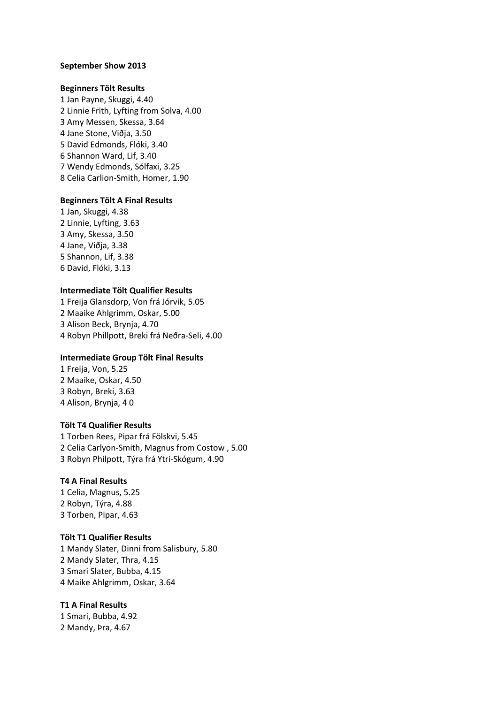### **September Show 2013**

### **Beginners Tölt Results**

1 Jan Payne, Skuggi, 4.40 2 Linnie Frith, Lyfting from Solva, 4.00 3 Amy Messen, Skessa, 3.64 4 Jane Stone, Viðja, 3.50 5 David Edmonds, Flóki, 3.40 6 Shannon Ward, Lif, 3.40 7 Wendy Edmonds, Sólfaxi, 3.25 8 Celia Carlion-Smith, Homer, 1.90

### **Beginners Tölt A Final Results**

1 Jan, Skuggi, 4.38 2 Linnie, Lyfting, 3.63 3 Amy, Skessa, 3.50 4 Jane, Viðja, 3.38 5 Shannon, Lif, 3.38 6 David, Flóki, 3.13

### **Intermediate Tölt Qualifier Results**

1 Freija Glansdorp, Von frá Jórvik, 5.05 2 Maaike Ahlgrimm, Oskar, 5.00 3 Alison Beck, Brynja, 4.70 4 Robyn Phillpott, Breki frá Neðra-Seli, 4.00

#### **Intermediate Group Tölt Final Results**

1 Freija, Von, 5.25 2 Maaike, Oskar, 4.50 3 Robyn, Breki, 3.63 4 Alison, Brynja, 4 0

# **Tölt T4 Qualifier Results**

1 Torben Rees, Pipar frá Fölskvi, 5.45 2 Celia Carlyon-Smith, Magnus from Costow , 5.00 3 Robyn Philpott, Týra frá Ytri-Skógum, 4.90

# **T4 A Final Results**

1 Celia, Magnus, 5.25 2 Robyn, Týra, 4.88 3 Torben, Pipar, 4.63

### **Tölt T1 Qualifier Results**

1 Mandy Slater, Dinni from Salisbury, 5.80 2 Mandy Slater, Thra, 4.15 3 Smari Slater, Bubba, 4.15 4 Maike Ahlgrimm, Oskar, 3.64

#### **T1 A Final Results**

1 Smari, Bubba, 4.92 2 Mandy, Þra, 4.67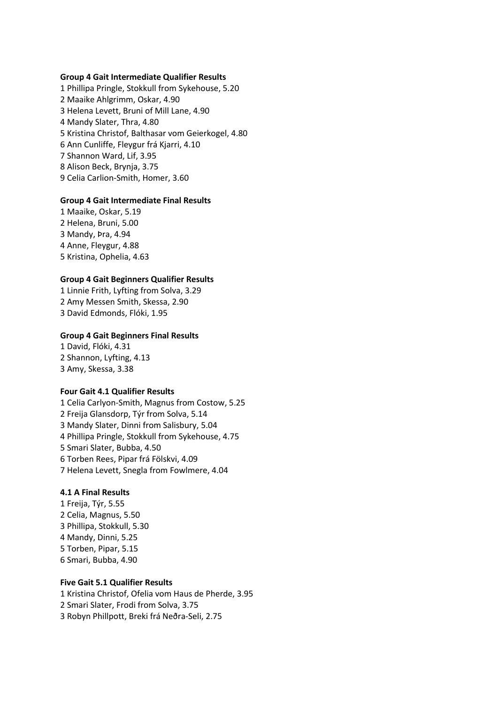### **Group 4 Gait Intermediate Qualifier Results**

1 Phillipa Pringle, Stokkull from Sykehouse, 5.20 2 Maaike Ahlgrimm, Oskar, 4.90 3 Helena Levett, Bruni of Mill Lane, 4.90 4 Mandy Slater, Thra, 4.80 5 Kristina Christof, Balthasar vom Geierkogel, 4.80 6 Ann Cunliffe, Fleygur frá Kjarri, 4.10 7 Shannon Ward, Lif, 3.95 8 Alison Beck, Brynja, 3.75 9 Celia Carlion-Smith, Homer, 3.60

### **Group 4 Gait Intermediate Final Results**

1 Maaike, Oskar, 5.19 2 Helena, Bruni, 5.00 3 Mandy, Þra, 4.94 4 Anne, Fleygur, 4.88 5 Kristina, Ophelia, 4.63

# **Group 4 Gait Beginners Qualifier Results**

1 Linnie Frith, Lyfting from Solva, 3.29 2 Amy Messen Smith, Skessa, 2.90 3 David Edmonds, Flóki, 1.95

# **Group 4 Gait Beginners Final Results**

1 David, Flóki, 4.31 2 Shannon, Lyfting, 4.13 3 Amy, Skessa, 3.38

### **Four Gait 4.1 Qualifier Results**

1 Celia Carlyon-Smith, Magnus from Costow, 5.25 2 Freija Glansdorp, Týr from Solva, 5.14 3 Mandy Slater, Dinni from Salisbury, 5.04 4 Phillipa Pringle, Stokkull from Sykehouse, 4.75 5 Smari Slater, Bubba, 4.50 6 Torben Rees, Pipar frá Fölskvi, 4.09 7 Helena Levett, Snegla from Fowlmere, 4.04

# **4.1 A Final Results**

1 Freija, Týr, 5.55 2 Celia, Magnus, 5.50 3 Phillipa, Stokkull, 5.30 4 Mandy, Dinni, 5.25 5 Torben, Pipar, 5.15 6 Smari, Bubba, 4.90

# **Five Gait 5.1 Qualifier Results**

1 Kristina Christof, Ofelia vom Haus de Pherde, 3.95 2 Smari Slater, Frodi from Solva, 3.75 3 Robyn Phillpott, Breki frá Neðra-Seli, 2.75